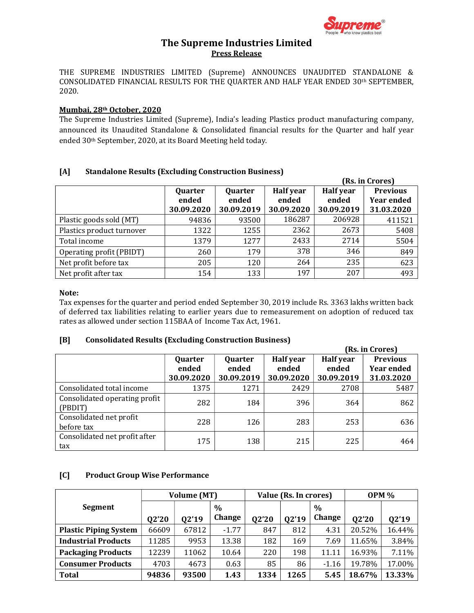

# The Supreme Industries Limited Press Release

THE SUPREME INDUSTRIES LIMITED (Supreme) ANNOUNCES UNAUDITED STANDALONE & CONSOLIDATED FINANCIAL RESULTS FOR THE QUARTER AND HALF YEAR ENDED 30th SEPTEMBER, 2020.

#### Mumbai, 28th October, 2020

The Supreme Industries Limited (Supreme), India's leading Plastics product manufacturing company, announced its Unaudited Standalone & Consolidated financial results for the Quarter and half year ended 30th September, 2020, at its Board Meeting held today.

### [A] Standalone Results (Excluding Construction Business)

|                           |                                |                                |                                         | (Rs. in Crores)                         |                                                    |  |  |
|---------------------------|--------------------------------|--------------------------------|-----------------------------------------|-----------------------------------------|----------------------------------------------------|--|--|
|                           | Quarter<br>ended<br>30.09.2020 | Quarter<br>ended<br>30.09.2019 | <b>Half</b> year<br>ended<br>30.09.2020 | <b>Half</b> year<br>ended<br>30.09.2019 | <b>Previous</b><br><b>Year ended</b><br>31.03.2020 |  |  |
| Plastic goods sold (MT)   | 94836                          | 93500                          | 186287                                  | 206928                                  | 411521                                             |  |  |
| Plastics product turnover | 1322                           | 1255                           | 2362                                    | 2673                                    | 5408                                               |  |  |
| Total income              | 1379                           | 1277                           | 2433                                    | 2714                                    | 5504                                               |  |  |
| Operating profit (PBIDT)  | 260                            | 179                            | 378                                     | 346                                     | 849                                                |  |  |
| Net profit before tax     | 205                            | 120                            | 264                                     | 235                                     | 623                                                |  |  |
| Net profit after tax      | 154                            | 133                            | 197                                     | 207                                     | 493                                                |  |  |

#### Note:

Tax expenses for the quarter and period ended September 30, 2019 include Rs. 3363 lakhs written back of deferred tax liabilities relating to earlier years due to remeasurement on adoption of reduced tax rates as allowed under section 115BAA of Income Tax Act, 1961.

### [B] Consolidated Results (Excluding Construction Business)

|                               |            |            |                  | (Rs. in Crores)  |                   |  |  |
|-------------------------------|------------|------------|------------------|------------------|-------------------|--|--|
|                               | Quarter    | Quarter    | <b>Half</b> year | <b>Half</b> year | <b>Previous</b>   |  |  |
|                               | ended      | ended      | ended            | ended            | <b>Year ended</b> |  |  |
|                               | 30.09.2020 | 30.09.2019 | 30.09.2020       | 30.09.2019       | 31.03.2020        |  |  |
| Consolidated total income     | 1375       | 1271       | 2429             | 2708             | 5487              |  |  |
| Consolidated operating profit |            | 184        |                  |                  |                   |  |  |
| (PBDIT)                       | 282        |            | 396              | 364              | 862               |  |  |
| Consolidated net profit       | 228        | 126        | 283              | 253              | 636               |  |  |
| before tax                    |            |            |                  |                  |                   |  |  |
| Consolidated net profit after | 175        | 138        | 215              | 225              | 464               |  |  |
| tax                           |            |            |                  |                  |                   |  |  |

### [C] Product Group Wise Performance

|                              |       | Volume (MT) |         | Value (Rs. In crores) |       |               | <b>OPM %</b> |        |
|------------------------------|-------|-------------|---------|-----------------------|-------|---------------|--------------|--------|
| <b>Segment</b>               |       |             | $\%$    |                       |       | $\frac{0}{0}$ |              |        |
|                              | Q2'20 | Q2'19       | Change  | Q2'20                 | Q2'19 | Change        | Q2'20        | Q2'19  |
| <b>Plastic Piping System</b> | 66609 | 67812       | $-1.77$ | 847                   | 812   | 4.31          | 20.52%       | 16.44% |
| <b>Industrial Products</b>   | 11285 | 9953        | 13.38   | 182                   | 169   | 7.69          | 11.65%       | 3.84%  |
| <b>Packaging Products</b>    | 12239 | 11062       | 10.64   | 220                   | 198   | 11.11         | 16.93%       | 7.11%  |
| <b>Consumer Products</b>     | 4703  | 4673        | 0.63    | 85                    | 86    | $-1.16$       | 19.78%       | 17.00% |
| <b>Total</b>                 | 94836 | 93500       | 1.43    | 1334                  | 1265  | 5.45          | 18.67%       | 13.33% |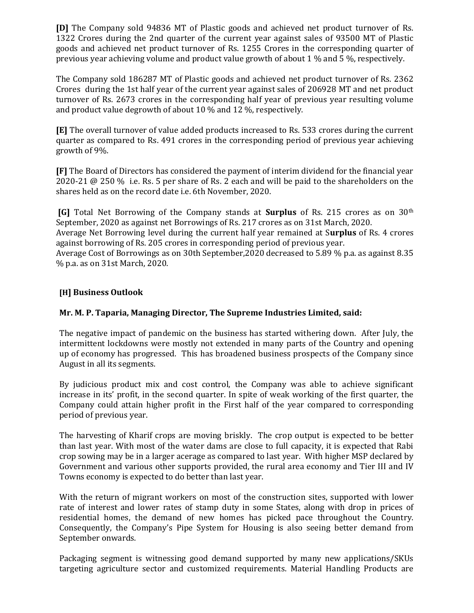[D] The Company sold 94836 MT of Plastic goods and achieved net product turnover of Rs. 1322 Crores during the 2nd quarter of the current year against sales of 93500 MT of Plastic goods and achieved net product turnover of Rs. 1255 Crores in the corresponding quarter of previous year achieving volume and product value growth of about 1 % and 5 %, respectively.

The Company sold 186287 MT of Plastic goods and achieved net product turnover of Rs. 2362 Crores during the 1st half year of the current year against sales of 206928 MT and net product turnover of Rs. 2673 crores in the corresponding half year of previous year resulting volume and product value degrowth of about 10 % and 12 %, respectively.

[E] The overall turnover of value added products increased to Rs. 533 crores during the current quarter as compared to Rs. 491 crores in the corresponding period of previous year achieving growth of 9%.

[F] The Board of Directors has considered the payment of interim dividend for the financial year 2020-21 @ 250 % i.e. Rs. 5 per share of Rs. 2 each and will be paid to the shareholders on the shares held as on the record date i.e. 6th November, 2020.

[G] Total Net Borrowing of the Company stands at Surplus of Rs. 215 crores as on 30th September, 2020 as against net Borrowings of Rs. 217 crores as on 31st March, 2020.

Average Net Borrowing level during the current half year remained at Surplus of Rs. 4 crores against borrowing of Rs. 205 crores in corresponding period of previous year.

Average Cost of Borrowings as on 30th September,2020 decreased to 5.89 % p.a. as against 8.35 % p.a. as on 31st March, 2020.

# [H] Business Outlook

# Mr. M. P. Taparia, Managing Director, The Supreme Industries Limited, said:

The negative impact of pandemic on the business has started withering down. After July, the intermittent lockdowns were mostly not extended in many parts of the Country and opening up of economy has progressed. This has broadened business prospects of the Company since August in all its segments.

By judicious product mix and cost control, the Company was able to achieve significant increase in its' profit, in the second quarter. In spite of weak working of the first quarter, the Company could attain higher profit in the First half of the year compared to corresponding period of previous year.

The harvesting of Kharif crops are moving briskly. The crop output is expected to be better than last year. With most of the water dams are close to full capacity, it is expected that Rabi crop sowing may be in a larger acerage as compared to last year. With higher MSP declared by Government and various other supports provided, the rural area economy and Tier III and IV Towns economy is expected to do better than last year.

With the return of migrant workers on most of the construction sites, supported with lower rate of interest and lower rates of stamp duty in some States, along with drop in prices of residential homes, the demand of new homes has picked pace throughout the Country. Consequently, the Company's Pipe System for Housing is also seeing better demand from September onwards.

Packaging segment is witnessing good demand supported by many new applications/SKUs targeting agriculture sector and customized requirements. Material Handling Products are